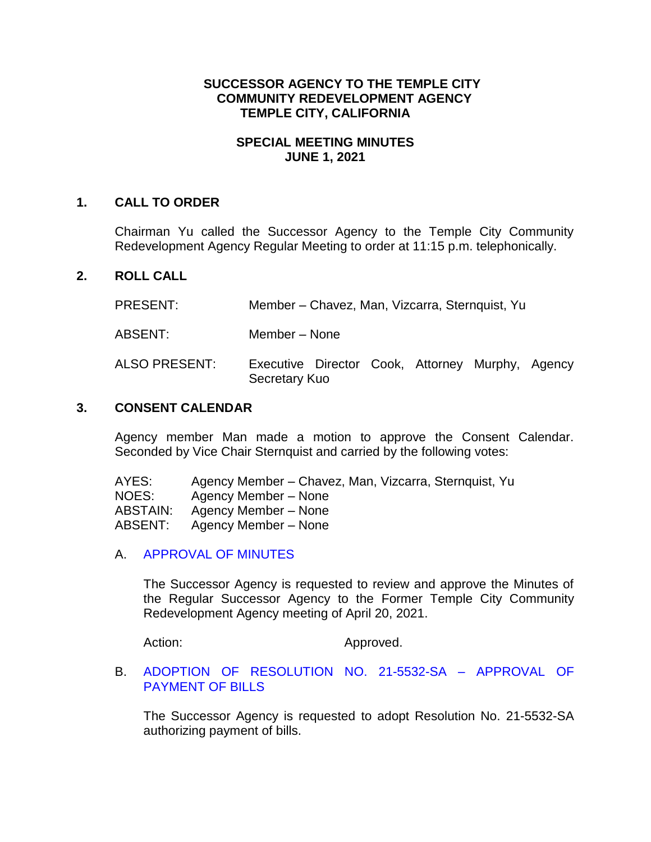# **SUCCESSOR AGENCY TO THE TEMPLE CITY COMMUNITY REDEVELOPMENT AGENCY TEMPLE CITY, CALIFORNIA**

# **SPECIAL MEETING MINUTES JUNE 1, 2021**

### **1. CALL TO ORDER**

Chairman Yu called the Successor Agency to the Temple City Community Redevelopment Agency Regular Meeting to order at 11:15 p.m. telephonically.

### **2. ROLL CALL**

PRESENT: Member – Chavez, Man, Vizcarra, Sternquist, Yu

ABSENT: Member – None

ALSO PRESENT: Executive Director Cook, Attorney Murphy, Agency Secretary Kuo

#### **3. CONSENT CALENDAR**

Agency member Man made a motion to approve the Consent Calendar. Seconded by Vice Chair Sternquist and carried by the following votes:

| AYES:    | Agency Member – Chavez, Man, Vizcarra, Sternquist, Yu |
|----------|-------------------------------------------------------|
| NOES:    | Agency Member – None                                  |
| ABSTAIN: | Agency Member – None                                  |
| ABSENT:  | Agency Member – None                                  |

A. [APPROVAL OF MINUTES](https://www.ci.temple-city.ca.us/DocumentCenter/View/16324/09-3A_SAM--2021-04-20)

The Successor Agency is requested to review and approve the Minutes of the Regular Successor Agency to the Former Temple City Community Redevelopment Agency meeting of April 20, 2021.

Action: Approved.

B. [ADOPTION OF RESOLUTION NO. 21-5532-SA –](https://www.ci.temple-city.ca.us/DocumentCenter/View/16325/10-3B_Reso-No-21-5532-SA-60121---Warrants--Demands-FY-2020-21) APPROVAL OF [PAYMENT OF BILLS](https://www.ci.temple-city.ca.us/DocumentCenter/View/16325/10-3B_Reso-No-21-5532-SA-60121---Warrants--Demands-FY-2020-21)

The Successor Agency is requested to adopt Resolution No. 21-5532-SA authorizing payment of bills.